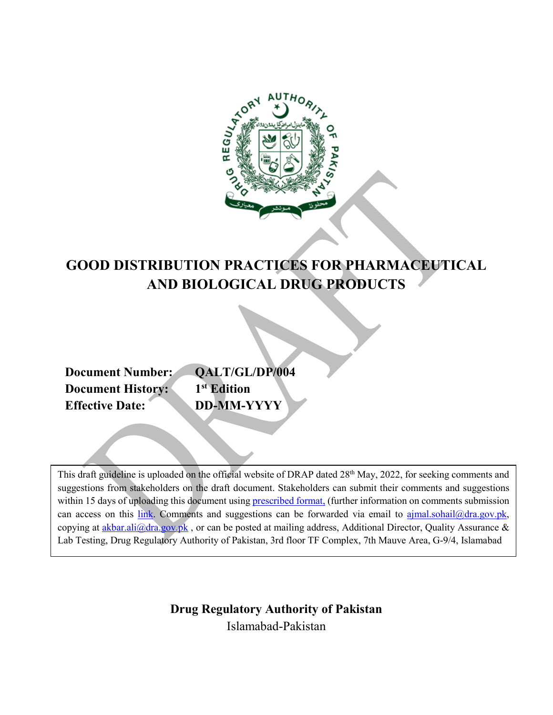

# **GOOD DISTRIBUTION PRACTICES FOR PHARMACEUTICAL AND BIOLOGICAL DRUG PRODUCTS**

**Document History: Effective Date: DD-MM-YYYY**

**Document Number: QALT/GL/DP/004**<br>**Document History: 1**<sup>st</sup> **Edition** 

This draft guideline is uploaded on the official website of DRAP dated 28<sup>th</sup> May, 2022, for seeking comments and suggestions from stakeholders on the draft document. Stakeholders can submit their comments and suggestions within 15 days of uploading this document usin[g prescribed format,](https://www.dra.gov.pk/wp-content/uploads/2022/04/1.-Table-for-Submitting-Comments-on-Draft-Documents-1.docx) (further information on comments submission can access on this [link.](https://www.dra.gov.pk/publications/public-consultations/how-to-submit-comments/) Comments and suggestions can be forwarded via email to [ajmal.sohail@dra.gov.pk,](mailto:ajmal.sohail@dra.gov.pk) copying at akbar.ali $@$ dra.gov.pk, or can be posted at mailing address, Additional Director, Quality Assurance & Lab Testing, Drug Regulatory Authority of Pakistan, 3rd floor TF Complex, 7th Mauve Area, G-9/4, Islamabad

> <span id="page-0-0"></span>**Drug Regulatory Authority of Pakistan** Islamabad-Pakistan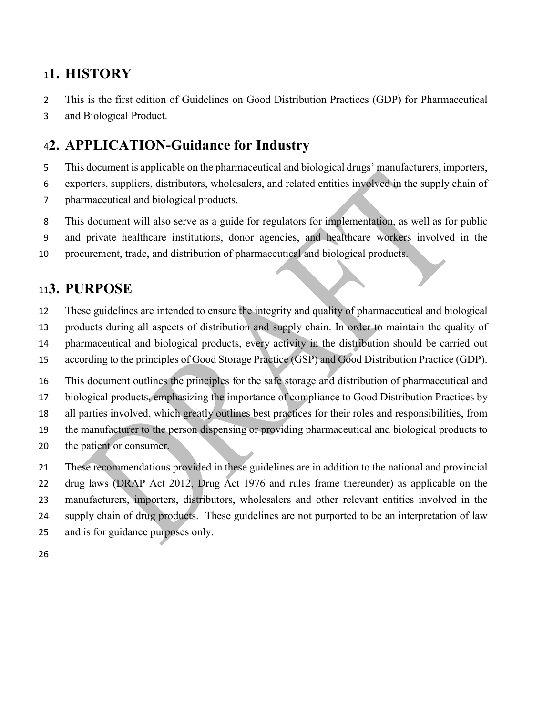# **1. HISTORY**

- This is the first edition of Guidelines on Good Distribution Practices (GDP) for Pharmaceutical
- and Biological Product.

# <span id="page-1-0"></span>**2. APPLICATION-Guidance for Industry**

- This document is applicable on the pharmaceutical and biological drugs' manufacturers, importers,
- exporters, suppliers, distributors, wholesalers, and related entities involved in the supply chain of
- pharmaceutical and biological products.
- This document will also serve as a guide for regulators for implementation, as well as for public
- and private healthcare institutions, donor agencies, and healthcare workers involved in the
- procurement, trade, and distribution of pharmaceutical and biological products.

# <span id="page-1-1"></span>**3. PURPOSE**

- These guidelines are intended to ensure the integrity and quality of pharmaceutical and biological
- products during all aspects of distribution and supply chain. In order to maintain the quality of
- pharmaceutical and biological products, every activity in the distribution should be carried out
- according to the principles of Good Storage Practice (GSP) and Good Distribution Practice (GDP).
- This document outlines the principles for the safe storage and distribution of pharmaceutical and
- biological products, emphasizing the importance of compliance to Good Distribution Practices by
- all parties involved, which greatly outlines best practices for their roles and responsibilities, from
- the manufacturer to the person dispensing or providing pharmaceutical and biological products to
- the patient or consumer.
- These recommendations provided in these guidelines are in addition to the national and provincial
- drug laws (DRAP Act 2012, Drug Act 1976 and rules frame thereunder) as applicable on the manufacturers, importers, distributors, wholesalers and other relevant entities involved in the
- supply chain of drug products. These guidelines are not purported to be an interpretation of law
- and is for guidance purposes only.
-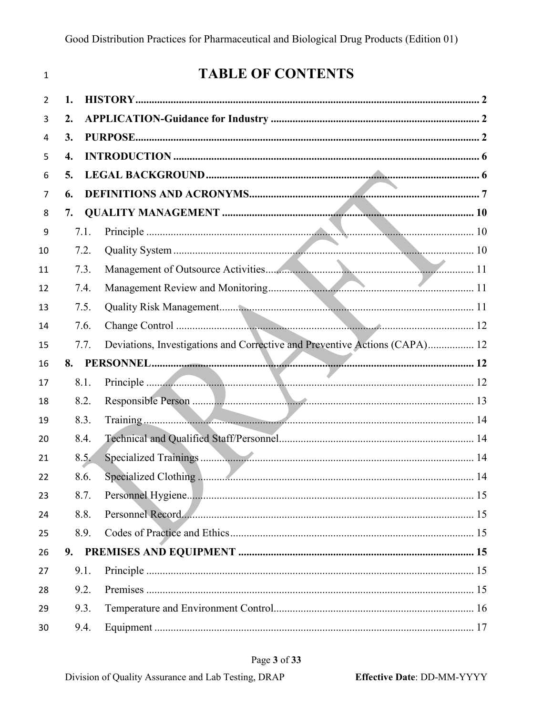| 1              |      | <b>TABLE OF CONTENTS</b>                                                   |  |
|----------------|------|----------------------------------------------------------------------------|--|
| $\overline{2}$ | 1.   |                                                                            |  |
| 3              | 2.   |                                                                            |  |
| 4              | 3.   |                                                                            |  |
| 5              | 4.   |                                                                            |  |
| 6              | 5.   |                                                                            |  |
| 7              | 6.   |                                                                            |  |
| 8              | 7.   |                                                                            |  |
| 9              | 7.1. |                                                                            |  |
| 10             | 7.2. |                                                                            |  |
| 11             | 7.3. |                                                                            |  |
| 12             | 7.4. |                                                                            |  |
| 13             | 7.5. |                                                                            |  |
| 14             | 7.6. |                                                                            |  |
| 15             | 7.7. | Deviations, Investigations and Corrective and Preventive Actions (CAPA) 12 |  |
| 16             |      |                                                                            |  |
| 17             | 8.1. |                                                                            |  |
| 18             | 8.2. |                                                                            |  |
| 19             | 8.3. |                                                                            |  |
| 20             | 8.4. |                                                                            |  |
| 21             | 8.5. |                                                                            |  |
| 22             | 8.6. |                                                                            |  |
| 23             | 8.7. |                                                                            |  |
| 24             | 8.8. | Personnel Record                                                           |  |
| 25             | 8.9. |                                                                            |  |
| 26             |      |                                                                            |  |
| 27             | 9.1. |                                                                            |  |
| 28             | 9.2. |                                                                            |  |
| 29             | 9.3. |                                                                            |  |
| 30             | 9.4. |                                                                            |  |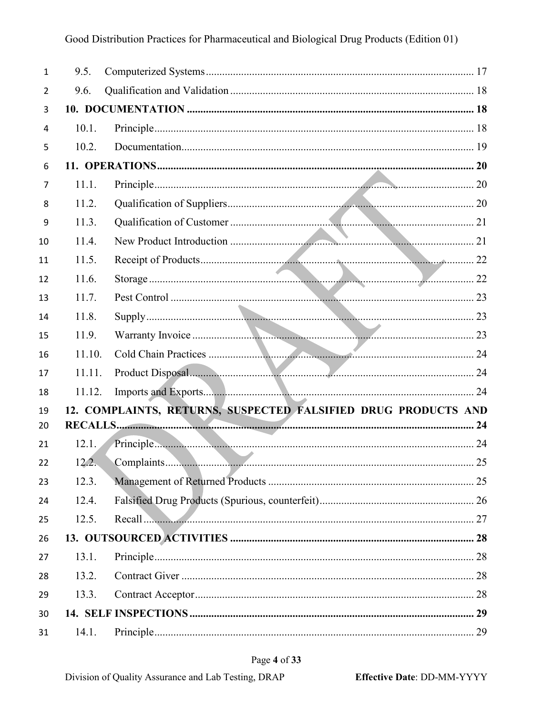| $\mathbf{1}$ | 9.5.   |                                                                |
|--------------|--------|----------------------------------------------------------------|
| 2            | 9.6.   |                                                                |
| 3            |        |                                                                |
| 4            | 10.1.  |                                                                |
| 5            | 10.2.  |                                                                |
| 6            |        |                                                                |
| 7            | 11.1.  |                                                                |
| 8            | 11.2.  |                                                                |
| 9            | 11.3.  |                                                                |
| 10           | 11.4.  |                                                                |
| 11           | 11.5.  |                                                                |
| 12           | 11.6.  |                                                                |
| 13           | 11.7.  |                                                                |
| 14           | 11.8.  |                                                                |
| 15           | 11.9.  |                                                                |
| 16           | 11.10. |                                                                |
| 17           | 11.11. |                                                                |
| 18           | 11.12. |                                                                |
| 19           |        | 12. COMPLAINTS, RETURNS, SUSPECTED FALSIFIED DRUG PRODUCTS AND |
| 20           |        |                                                                |
| 21           | 12.1.  |                                                                |
| 22           | 12.2.  |                                                                |
| 23           | 12.3.  |                                                                |
| 24           | 12.4.  |                                                                |
| 25           | 12.5.  | Recall  27                                                     |
| 26           |        |                                                                |
| 27           | 13.1.  |                                                                |
| 28           | 13.2.  |                                                                |
| 29           | 13.3.  |                                                                |
| 30           |        |                                                                |
| 31           | 14.1.  | 29                                                             |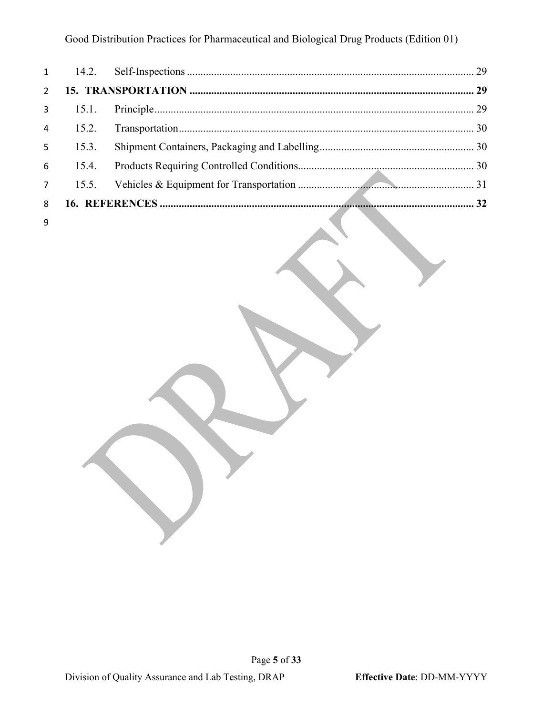### Good Distribution Practices for Pharmaceutical and Biological Drug Products (Edition 01)

| $2^{\circ}$ |              |  |
|-------------|--------------|--|
|             |              |  |
|             |              |  |
|             | $5 \t 15.3.$ |  |
|             |              |  |
|             |              |  |
|             |              |  |
|             |              |  |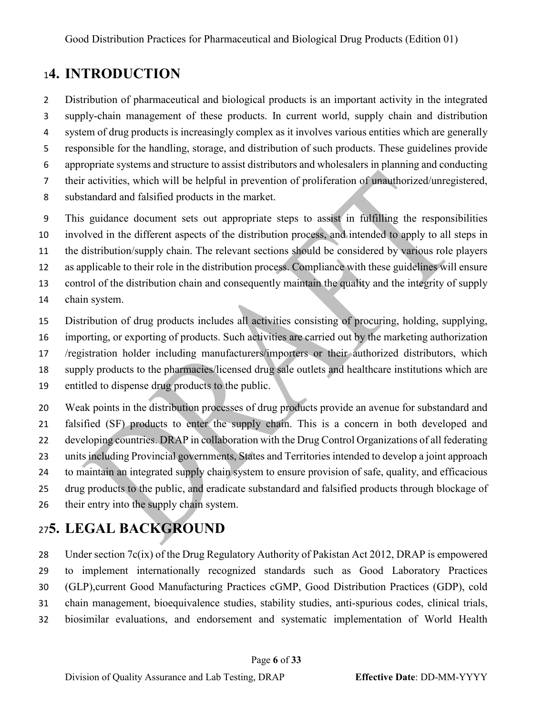# <span id="page-5-0"></span>**4. INTRODUCTION**

Distribution of pharmaceutical and biological products is an important activity in the integrated

supply-chain management of these products. In current world, supply chain and distribution

system of drug products is increasingly complex as it involves various entities which are generally

responsible for the handling, storage, and distribution of such products. These guidelines provide

appropriate systems and structure to assist distributors and wholesalers in planning and conducting

their activities, which will be helpful in prevention of proliferation of unauthorized/unregistered,

substandard and falsified products in the market.

This guidance document sets out appropriate steps to assist in fulfilling the responsibilities

involved in the different aspects of the distribution process, and intended to apply to all steps in

the distribution/supply chain. The relevant sections should be considered by various role players

as applicable to their role in the distribution process. Compliance with these guidelines will ensure

control of the distribution chain and consequently maintain the quality and the integrity of supply

chain system.

Distribution of drug products includes all activities consisting of procuring, holding, supplying,

importing, or exporting of products. Such activities are carried out by the marketing authorization

/registration holder including manufacturers/importers or their authorized distributors, which

supply products to the pharmacies/licensed drug sale outlets and healthcare institutions which are

entitled to dispense drug products to the public.

 Weak points in the distribution processes of drug products provide an avenue for substandard and falsified (SF) products to enter the supply chain. This is a concern in both developed and developing countries. DRAP in collaboration with the Drug Control Organizations of all federating units including Provincial governments, States and Territories intended to develop a joint approach to maintain an integrated supply chain system to ensure provision of safe, quality, and efficacious drug products to the public, and eradicate substandard and falsified products through blockage of 26 their entry into the supply chain system.

# <span id="page-5-1"></span>**5. LEGAL BACKGROUND**

28 Under section 7c(ix) of the Drug Regulatory Authority of Pakistan Act 2012, DRAP is empowered to implement internationally recognized standards such as Good Laboratory Practices (GLP),current Good Manufacturing Practices cGMP, Good Distribution Practices (GDP), cold chain management, bioequivalence studies, stability studies, anti-spurious codes, clinical trials, biosimilar evaluations, and endorsement and systematic implementation of World Health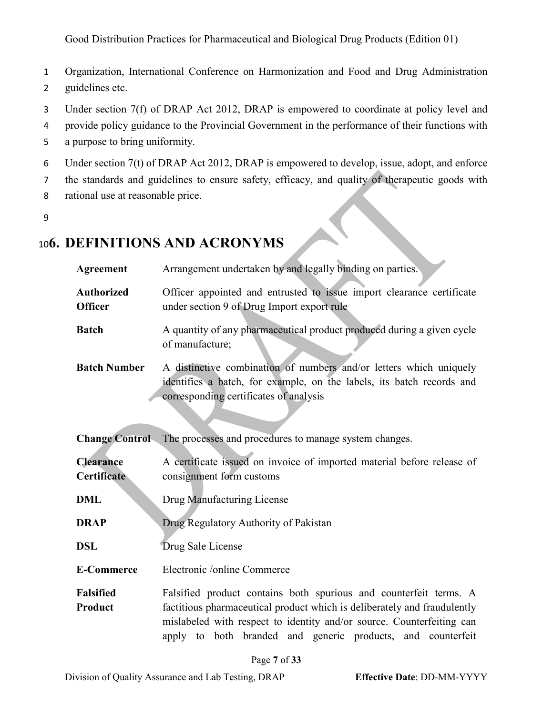Good Distribution Practices for Pharmaceutical and Biological Drug Products (Edition 01)

- 1 Organization, International Conference on Harmonization and Food and Drug Administration 2 guidelines etc.
- 3 Under section 7(f) of DRAP Act 2012, DRAP is empowered to coordinate at policy level and
- 4 provide policy guidance to the Provincial Government in the performance of their functions with
- 5 a purpose to bring uniformity.
- 6 Under section 7(t) of DRAP Act 2012, DRAP is empowered to develop, issue, adopt, and enforce
- 7 the standards and guidelines to ensure safety, efficacy, and quality of therapeutic goods with
- 8 rational use at reasonable price.
- 9

# <span id="page-6-0"></span><sup>10</sup>**6. DEFINITIONS AND ACRONYMS**

| <b>Agreement</b>                    | Arrangement undertaken by and legally binding on parties.                                                                                                                                                                                                                             |
|-------------------------------------|---------------------------------------------------------------------------------------------------------------------------------------------------------------------------------------------------------------------------------------------------------------------------------------|
| <b>Authorized</b><br><b>Officer</b> | Officer appointed and entrusted to issue import clearance certificate<br>under section 9 of Drug Import export rule                                                                                                                                                                   |
| <b>Batch</b>                        | A quantity of any pharmaceutical product produced during a given cycle<br>of manufacture;                                                                                                                                                                                             |
| <b>Batch Number</b>                 | A distinctive combination of numbers and/or letters which uniquely<br>identifies a batch, for example, on the labels, its batch records and<br>corresponding certificates of analysis                                                                                                 |
| <b>Change Control</b>               | The processes and procedures to manage system changes.                                                                                                                                                                                                                                |
| <b>Clearance</b><br>Certificate     | A certificate issued on invoice of imported material before release of<br>consignment form customs                                                                                                                                                                                    |
| <b>DML</b>                          | Drug Manufacturing License                                                                                                                                                                                                                                                            |
| <b>DRAP</b>                         | Drug Regulatory Authority of Pakistan                                                                                                                                                                                                                                                 |
| <b>DSL</b>                          | Drug Sale License                                                                                                                                                                                                                                                                     |
| <b>E-Commerce</b>                   | Electronic /online Commerce                                                                                                                                                                                                                                                           |
| <b>Falsified</b><br>Product         | Falsified product contains both spurious and counterfeit terms. A<br>factitious pharmaceutical product which is deliberately and fraudulently<br>mislabeled with respect to identity and/or source. Counterfeiting can<br>apply to both branded and generic products, and counterfeit |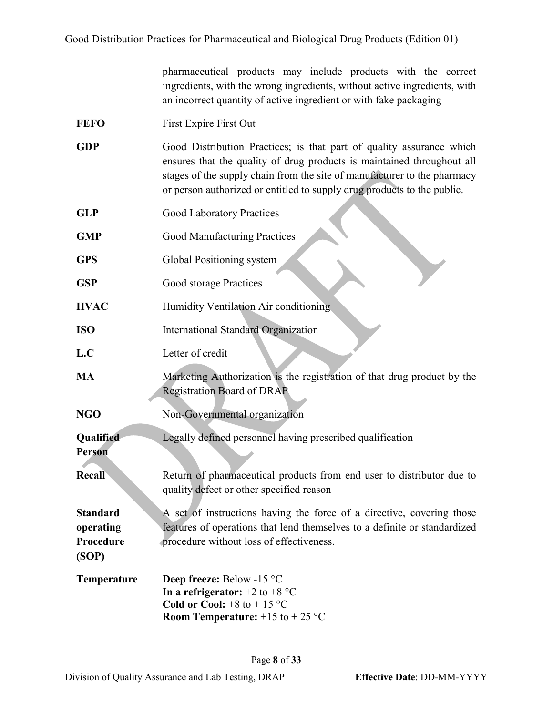pharmaceutical products may include products with the correct ingredients, with the wrong ingredients, without active ingredients, with an incorrect quantity of active ingredient or with fake packaging

- FEFO First Expire First Out
- GDP Good Distribution Practices; is that part of quality assurance which ensures that the quality of drug products is maintained throughout all stages of the supply chain from the site of manufacturer to the pharmacy or person authorized or entitled to supply drug products to the public.
- **GLP** Good Laboratory Practices
- **GMP** Good Manufacturing Practices
- **GPS** Global Positioning system
- **GSP** Good storage Practices
- **HVAC** Humidity Ventilation Air conditioning
- **ISO** International Standard Organization
- L.C<sub>letter</sub> of credit
- **MA** Marketing Authorization is the registration of that drug product by the Registration Board of DRAP
- **NGO** Non-Governmental organization
- **Qualified**  Legally defined personnel having prescribed qualification

**Person**

**(SOP)**

**Recall** Return of pharmaceutical products from end user to distributor due to quality defect or other specified reason

**Standard operating Procedure**  A set of instructions having the force of a directive, covering those features of operations that lend themselves to a definite or standardized procedure without loss of effectiveness.

**Temperature Deep freeze:** Below -15 °C **In a refrigerator:**  $+2$  to  $+8$  °C **Cold or Cool:**  $+8$  to  $+15$  °C **Room Temperature:**  $+15$  to  $+25$  °C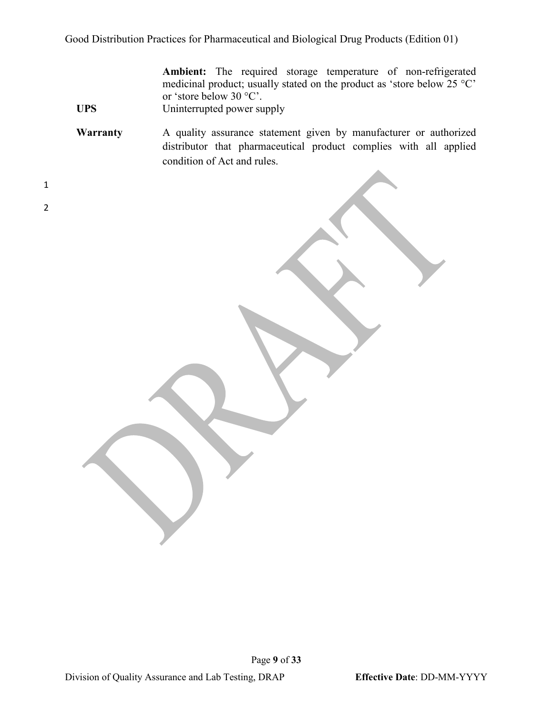Good Distribution Practices for Pharmaceutical and Biological Drug Products (Edition 01)

**Ambient:** The required storage temperature of non-refrigerated medicinal product; usually stated on the product as 'store below 25 °C' or 'store below 30 °C'.

UPS Uninterrupted power supply

**Warranty** A quality assurance statement given by manufacturer or authorized distributor that pharmaceutical product complies with all applied condition of Act and rules.

1 2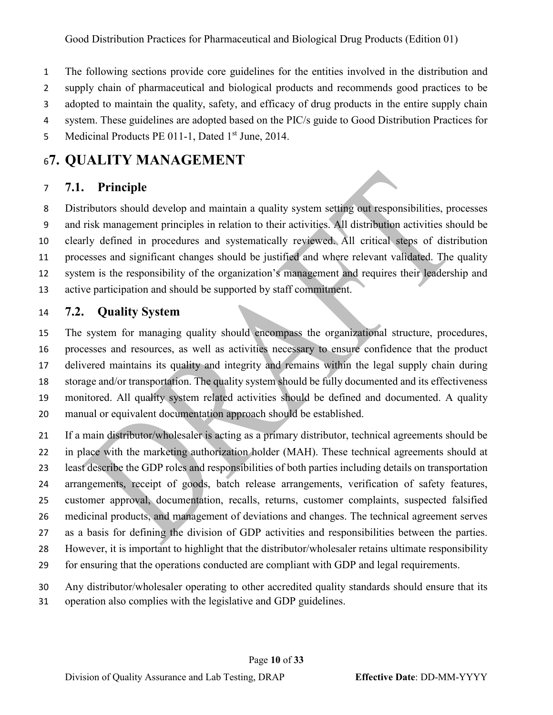- The following sections provide core guidelines for the entities involved in the distribution and
- supply chain of pharmaceutical and biological products and recommends good practices to be
- adopted to maintain the quality, safety, and efficacy of drug products in the entire supply chain
- system. These guidelines are adopted based on the PIC/s guide to Good Distribution Practices for
- 5 Medicinal Products PE 011-1, Dated 1<sup>st</sup> June, 2014.

# <span id="page-9-0"></span>**7. QUALITY MANAGEMENT**

## <span id="page-9-1"></span>**7.1. Principle**

 Distributors should develop and maintain a quality system setting out responsibilities, processes and risk management principles in relation to their activities. All distribution activities should be clearly defined in procedures and systematically reviewed. All critical steps of distribution processes and significant changes should be justified and where relevant validated. The quality system is the responsibility of the organization's management and requires their leadership and active participation and should be supported by staff commitment.

## <span id="page-9-2"></span>**7.2. Quality System**

 The system for managing quality should encompass the organizational structure, procedures, processes and resources, as well as activities necessary to ensure confidence that the product delivered maintains its quality and integrity and remains within the legal supply chain during storage and/or transportation. The quality system should be fully documented and its effectiveness monitored. All quality system related activities should be defined and documented. A quality manual or equivalent documentation approach should be established.

- If a main distributor/wholesaler is acting as a primary distributor, technical agreements should be in place with the marketing authorization holder (MAH). These technical agreements should at least describe the GDP roles and responsibilities of both parties including details on transportation arrangements, receipt of goods, batch release arrangements, verification of safety features, customer approval, documentation, recalls, returns, customer complaints, suspected falsified medicinal products, and management of deviations and changes. The technical agreement serves as a basis for defining the division of GDP activities and responsibilities between the parties. However, it is important to highlight that the distributor/wholesaler retains ultimate responsibility for ensuring that the operations conducted are compliant with GDP and legal requirements.
- Any distributor/wholesaler operating to other accredited quality standards should ensure that its
- operation also complies with the legislative and GDP guidelines.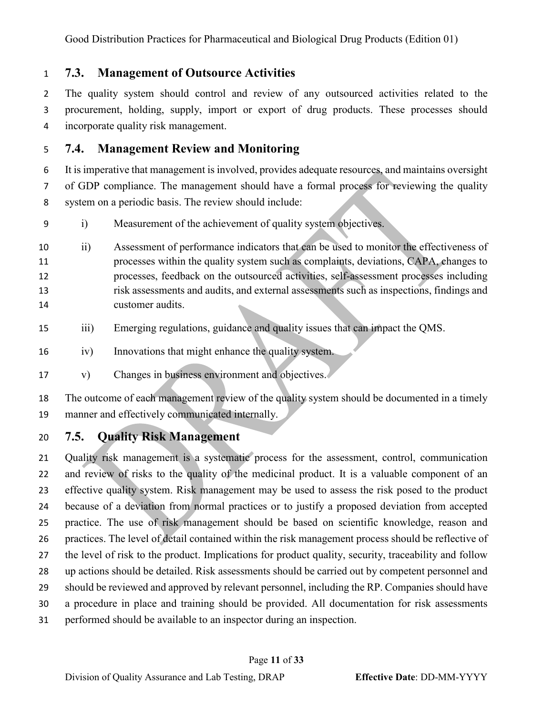Good Distribution Practices for Pharmaceutical and Biological Drug Products (Edition 01)

<span id="page-10-0"></span>**7.3. Management of Outsource Activities**

 The quality system should control and review of any outsourced activities related to the procurement, holding, supply, import or export of drug products. These processes should incorporate quality risk management.

## <span id="page-10-1"></span>**7.4. Management Review and Monitoring**

 It is imperative that management is involved, provides adequate resources, and maintains oversight of GDP compliance. The management should have a formal process for reviewing the quality system on a periodic basis. The review should include:

- i) Measurement of the achievement of quality system objectives.
- ii) Assessment of performance indicators that can be used to monitor the effectiveness of processes within the quality system such as complaints, deviations, CAPA, changes to processes, feedback on the outsourced activities, self-assessment processes including risk assessments and audits, and external assessments such as inspections, findings and customer audits.
- iii) Emerging regulations, guidance and quality issues that can impact the QMS.
- iv) Innovations that might enhance the quality system.
- v) Changes in business environment and objectives.

 The outcome of each management review of the quality system should be documented in a timely manner and effectively communicated internally.

<span id="page-10-2"></span>**7.5. Quality Risk Management**

 Quality risk management is a systematic process for the assessment, control, communication and review of risks to the quality of the medicinal product. It is a valuable component of an effective quality system. Risk management may be used to assess the risk posed to the product because of a deviation from normal practices or to justify a proposed deviation from accepted practice. The use of risk management should be based on scientific knowledge, reason and practices. The level of detail contained within the risk management process should be reflective of the level of risk to the product. Implications for product quality, security, traceability and follow up actions should be detailed. Risk assessments should be carried out by competent personnel and should be reviewed and approved by relevant personnel, including the RP. Companies should have a procedure in place and training should be provided. All documentation for risk assessments performed should be available to an inspector during an inspection.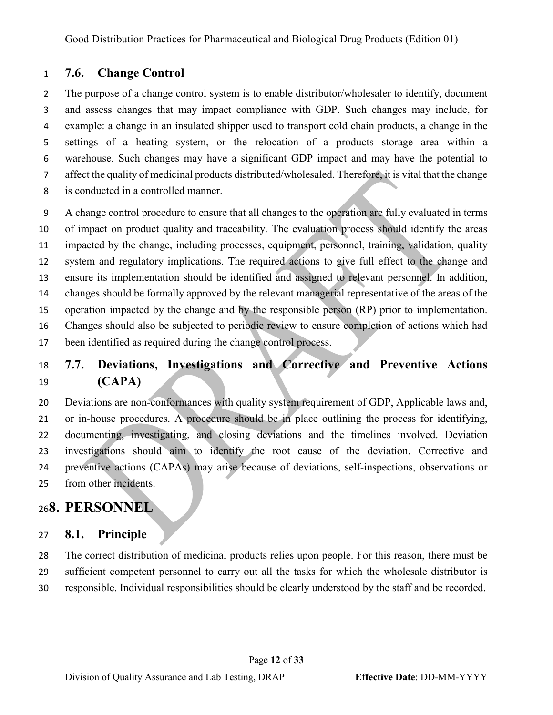### <span id="page-11-0"></span>**7.6. Change Control**

 The purpose of a change control system is to enable distributor/wholesaler to identify, document and assess changes that may impact compliance with GDP. Such changes may include, for example: a change in an insulated shipper used to transport cold chain products, a change in the settings of a heating system, or the relocation of a products storage area within a warehouse. Such changes may have a significant GDP impact and may have the potential to affect the quality of medicinal products distributed/wholesaled. Therefore, it is vital that the change is conducted in a controlled manner.

 A change control procedure to ensure that all changes to the operation are fully evaluated in terms of impact on product quality and traceability. The evaluation process should identify the areas impacted by the change, including processes, equipment, personnel, training, validation, quality system and regulatory implications. The required actions to give full effect to the change and ensure its implementation should be identified and assigned to relevant personnel. In addition, changes should be formally approved by the relevant managerial representative of the areas of the operation impacted by the change and by the responsible person (RP) prior to implementation. Changes should also be subjected to periodic review to ensure completion of actions which had been identified as required during the change control process.

## <span id="page-11-1"></span> **7.7. Deviations, Investigations and Corrective and Preventive Actions (CAPA)**

 Deviations are non-conformances with quality system requirement of GDP, Applicable laws and, or in-house procedures. A procedure should be in place outlining the process for identifying, documenting, investigating, and closing deviations and the timelines involved. Deviation investigations should aim to identify the root cause of the deviation. Corrective and preventive actions (CAPAs) may arise because of deviations, self-inspections, observations or from other incidents.

## <span id="page-11-2"></span>**8. PERSONNEL**

#### <span id="page-11-3"></span>**8.1. Principle**

 The correct distribution of medicinal products relies upon people. For this reason, there must be sufficient competent personnel to carry out all the tasks for which the wholesale distributor is responsible. Individual responsibilities should be clearly understood by the staff and be recorded.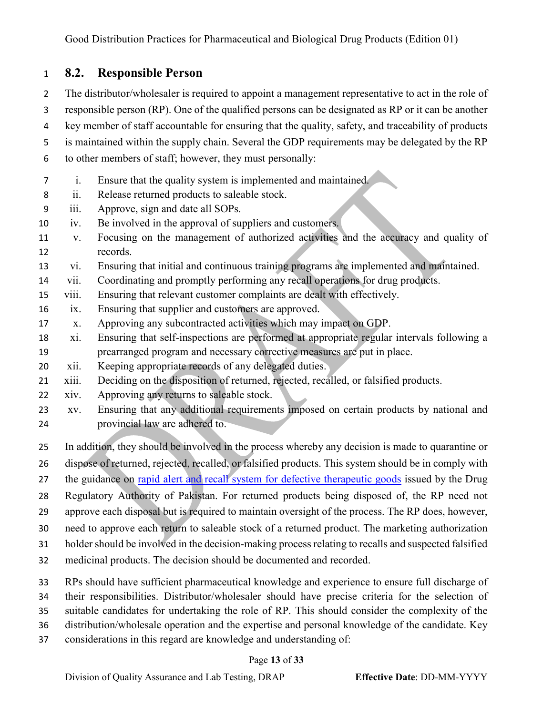## <span id="page-12-0"></span>**8.2. Responsible Person**

 The distributor/wholesaler is required to appoint a management representative to act in the role of responsible person (RP). One of the qualified persons can be designated as RP or it can be another key member of staff accountable for ensuring that the quality, safety, and traceability of products is maintained within the supply chain. Several the GDP requirements may be delegated by the RP to other members of staff; however, they must personally: i. Ensure that the quality system is implemented and maintained. ii. Release returned products to saleable stock. iii. Approve, sign and date all SOPs. iv. Be involved in the approval of suppliers and customers. v. Focusing on the management of authorized activities and the accuracy and quality of records. vi. Ensuring that initial and continuous training programs are implemented and maintained. vii. Coordinating and promptly performing any recall operations for drug products. viii. Ensuring that relevant customer complaints are dealt with effectively. ix. Ensuring that supplier and customers are approved. x. Approving any subcontracted activities which may impact on GDP. xi. Ensuring that self-inspections are performed at appropriate regular intervals following a prearranged program and necessary corrective measures are put in place. xii. Keeping appropriate records of any delegated duties. xiii. Deciding on the disposition of returned, rejected, recalled, or falsified products. xiv. Approving any returns to saleable stock. xv. Ensuring that any additional requirements imposed on certain products by national and provincial law are adhered to. In addition, they should be involved in the process whereby any decision is made to quarantine or dispose of returned, rejected, recalled, or falsified products. This system should be in comply with 27 the guidance on [rapid alert and recall system for defective therapeutic goods](https://www.dra.gov.pk/publications/guidelines/qa-lt/) issued by the Drug Regulatory Authority of Pakistan. For returned products being disposed of, the RP need not approve each disposal but is required to maintain oversight of the process. The RP does, however, need to approve each return to saleable stock of a returned product. The marketing authorization holder should be involved in the decision-making process relating to recalls and suspected falsified medicinal products. The decision should be documented and recorded.

RPs should have sufficient pharmaceutical knowledge and experience to ensure full discharge of

their responsibilities. Distributor/wholesaler should have precise criteria for the selection of

suitable candidates for undertaking the role of RP. This should consider the complexity of the

- distribution/wholesale operation and the expertise and personal knowledge of the candidate. Key
- considerations in this regard are knowledge and understanding of:

#### Page **13** of **33**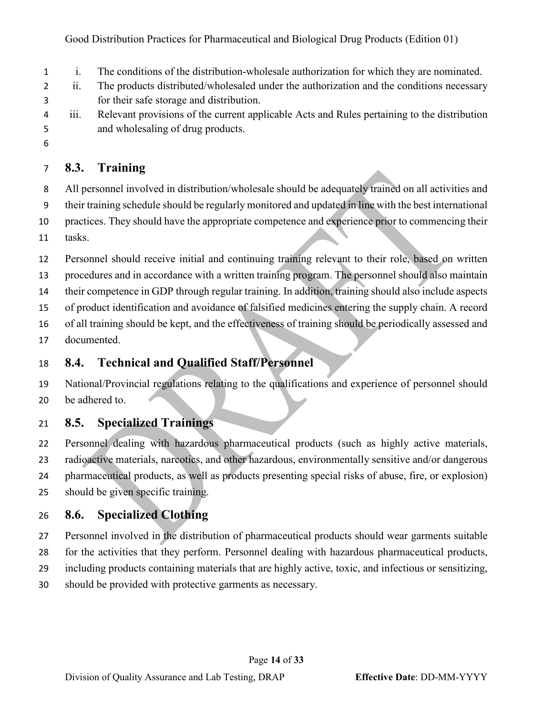- i. The conditions of the distribution-wholesale authorization for which they are nominated.
- ii. The products distributed/wholesaled under the authorization and the conditions necessary for their safe storage and distribution.
- iii. Relevant provisions of the current applicable Acts and Rules pertaining to the distribution and wholesaling of drug products.
- 

## <span id="page-13-0"></span>**8.3. Training**

- All personnel involved in distribution/wholesale should be adequately trained on all activities and
- their training schedule should be regularly monitored and updated in line with the best international
- practices. They should have the appropriate competence and experience prior to commencing their
- tasks.
- Personnel should receive initial and continuing training relevant to their role, based on written
- procedures and in accordance with a written training program. The personnel should also maintain
- their competence in GDP through regular training. In addition, training should also include aspects
- of product identification and avoidance of falsified medicines entering the supply chain. A record
- of all training should be kept, and the effectiveness of training should be periodically assessed and
- documented.

## <span id="page-13-1"></span>**8.4. Technical and Qualified Staff/Personnel**

 National/Provincial regulations relating to the qualifications and experience of personnel should be adhered to.

## <span id="page-13-2"></span>**8.5. Specialized Trainings**

 Personnel dealing with hazardous pharmaceutical products (such as highly active materials, radioactive materials, narcotics, and other hazardous, environmentally sensitive and/or dangerous pharmaceutical products, as well as products presenting special risks of abuse, fire, or explosion) should be given specific training.

## <span id="page-13-3"></span>**8.6. Specialized Clothing**

- Personnel involved in the distribution of pharmaceutical products should wear garments suitable
- for the activities that they perform. Personnel dealing with hazardous pharmaceutical products,
- including products containing materials that are highly active, toxic, and infectious or sensitizing,
- should be provided with protective garments as necessary.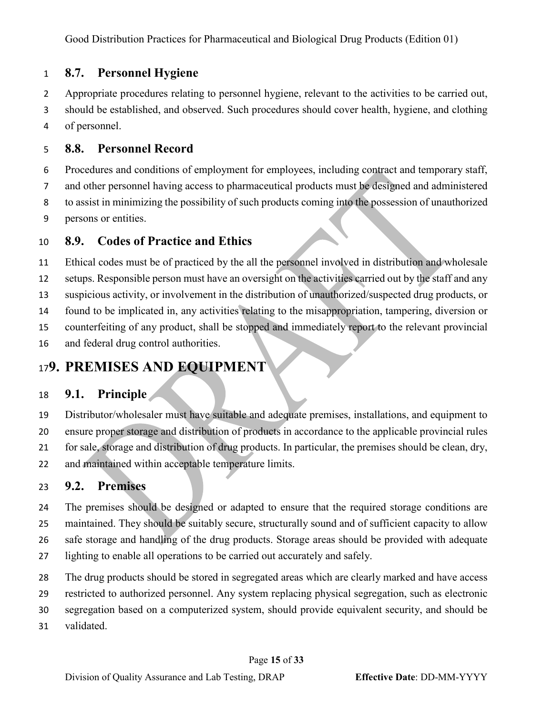## <span id="page-14-0"></span>**8.7. Personnel Hygiene**

 Appropriate procedures relating to personnel hygiene, relevant to the activities to be carried out, should be established, and observed. Such procedures should cover health, hygiene, and clothing of personnel.

## <span id="page-14-1"></span>**8.8. Personnel Record**

 Procedures and conditions of employment for employees, including contract and temporary staff, and other personnel having access to pharmaceutical products must be designed and administered to assist in minimizing the possibility of such products coming into the possession of unauthorized persons or entities.

### <span id="page-14-2"></span>**8.9. Codes of Practice and Ethics**

 Ethical codes must be of practiced by the all the personnel involved in distribution and wholesale setups. Responsible person must have an oversight on the activities carried out by the staff and any suspicious activity, or involvement in the distribution of unauthorized/suspected drug products, or found to be implicated in, any activities relating to the misappropriation, tampering, diversion or counterfeiting of any product, shall be stopped and immediately report to the relevant provincial and federal drug control authorities.

## <span id="page-14-3"></span>**9. PREMISES AND EQUIPMENT**

## <span id="page-14-4"></span>**9.1. Principle**

 Distributor/wholesaler must have suitable and adequate premises, installations, and equipment to ensure proper storage and distribution of products in accordance to the applicable provincial rules for sale, storage and distribution of drug products. In particular, the premises should be clean, dry, and maintained within acceptable temperature limits.

## <span id="page-14-5"></span>**9.2. Premises**

 The premises should be designed or adapted to ensure that the required storage conditions are maintained. They should be suitably secure, structurally sound and of sufficient capacity to allow safe storage and handling of the drug products. Storage areas should be provided with adequate lighting to enable all operations to be carried out accurately and safely.

The drug products should be stored in segregated areas which are clearly marked and have access

restricted to authorized personnel. Any system replacing physical segregation, such as electronic

segregation based on a computerized system, should provide equivalent security, and should be

validated.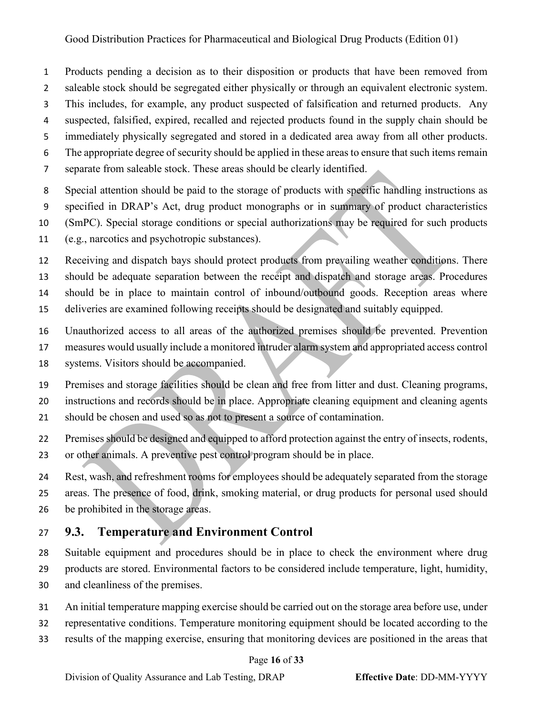- Products pending a decision as to their disposition or products that have been removed from
- saleable stock should be segregated either physically or through an equivalent electronic system.
- This includes, for example, any product suspected of falsification and returned products. Any
- suspected, falsified, expired, recalled and rejected products found in the supply chain should be
- immediately physically segregated and stored in a dedicated area away from all other products.
- The appropriate degree of security should be applied in these areas to ensure that such items remain
- separate from saleable stock. These areas should be clearly identified.
- Special attention should be paid to the storage of products with specific handling instructions as
- specified in DRAP's Act, drug product monographs or in summary of product characteristics
- (SmPC). Special storage conditions or special authorizations may be required for such products
- (e.g., narcotics and psychotropic substances).
- Receiving and dispatch bays should protect products from prevailing weather conditions. There should be adequate separation between the receipt and dispatch and storage areas. Procedures should be in place to maintain control of inbound/outbound goods. Reception areas where deliveries are examined following receipts should be designated and suitably equipped.
- 
- Unauthorized access to all areas of the authorized premises should be prevented. Prevention measures would usually include a monitored intruder alarm system and appropriated access control
- systems. Visitors should be accompanied.
- Premises and storage facilities should be clean and free from litter and dust. Cleaning programs,
- instructions and records should be in place. Appropriate cleaning equipment and cleaning agents
- should be chosen and used so as not to present a source of contamination.
- 22 Premises should be designed and equipped to afford protection against the entry of insects, rodents,
- or other animals. A preventive pest control program should be in place.
- Rest, wash, and refreshment rooms for employees should be adequately separated from the storage areas. The presence of food, drink, smoking material, or drug products for personal used should be prohibited in the storage areas.

## <span id="page-15-0"></span>**9.3. Temperature and Environment Control**

- Suitable equipment and procedures should be in place to check the environment where drug products are stored. Environmental factors to be considered include temperature, light, humidity, and cleanliness of the premises.
- An initial temperature mapping exercise should be carried out on the storage area before use, under
- representative conditions. Temperature monitoring equipment should be located according to the
- results of the mapping exercise, ensuring that monitoring devices are positioned in the areas that

#### Page **16** of **33**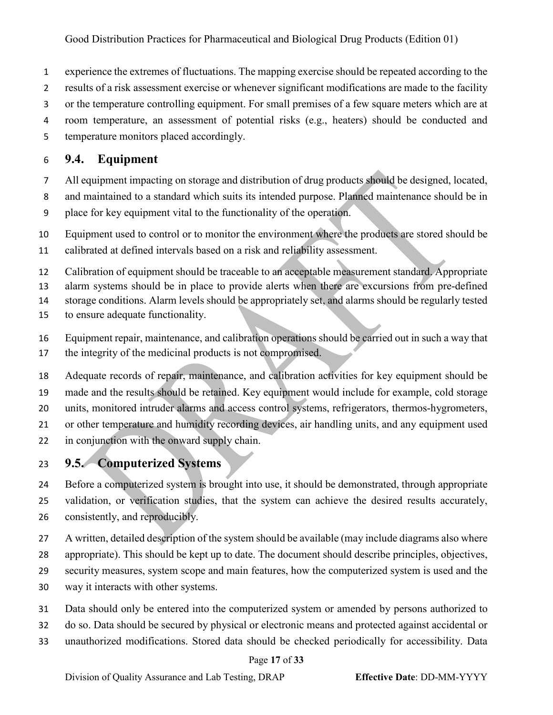- experience the extremes of fluctuations. The mapping exercise should be repeated according to the
- results of a risk assessment exercise or whenever significant modifications are made to the facility
- or the temperature controlling equipment. For small premises of a few square meters which are at
- room temperature, an assessment of potential risks (e.g., heaters) should be conducted and
- temperature monitors placed accordingly.

## <span id="page-16-0"></span>**9.4. Equipment**

- All equipment impacting on storage and distribution of drug products should be designed, located,
- and maintained to a standard which suits its intended purpose. Planned maintenance should be in place for key equipment vital to the functionality of the operation.
- Equipment used to control or to monitor the environment where the products are stored should be
- calibrated at defined intervals based on a risk and reliability assessment.
- Calibration of equipment should be traceable to an acceptable measurement standard. Appropriate
- alarm systems should be in place to provide alerts when there are excursions from pre-defined
- storage conditions. Alarm levels should be appropriately set, and alarms should be regularly tested
- to ensure adequate functionality.
- Equipment repair, maintenance, and calibration operations should be carried out in such a way that
- the integrity of the medicinal products is not compromised.
- Adequate records of repair, maintenance, and calibration activities for key equipment should be made and the results should be retained. Key equipment would include for example, cold storage units, monitored intruder alarms and access control systems, refrigerators, thermos-hygrometers, or other temperature and humidity recording devices, air handling units, and any equipment used in conjunction with the onward supply chain.

## <span id="page-16-1"></span>**9.5. Computerized Systems**

- Before a computerized system is brought into use, it should be demonstrated, through appropriate validation, or verification studies, that the system can achieve the desired results accurately,
- consistently, and reproducibly.
- A written, detailed description of the system should be available (may include diagrams also where appropriate). This should be kept up to date. The document should describe principles, objectives, security measures, system scope and main features, how the computerized system is used and the way it interacts with other systems.
- Data should only be entered into the computerized system or amended by persons authorized to
- do so. Data should be secured by physical or electronic means and protected against accidental or
- unauthorized modifications. Stored data should be checked periodically for accessibility. Data

#### Page **17** of **33**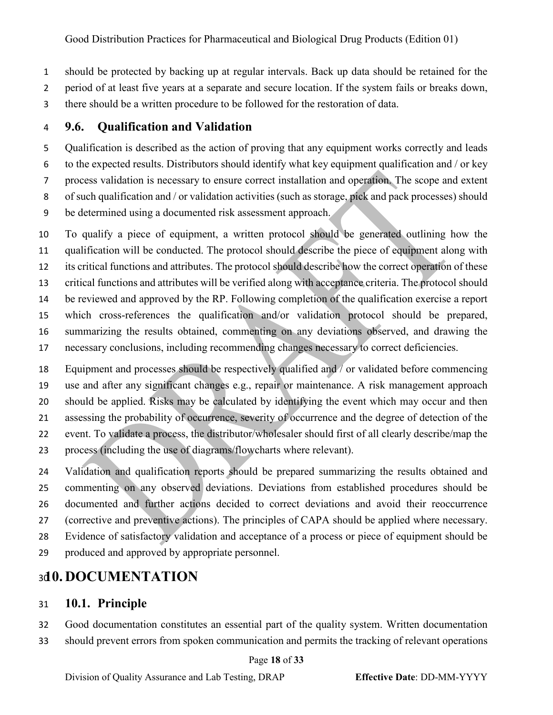should be protected by backing up at regular intervals. Back up data should be retained for the

period of at least five years at a separate and secure location. If the system fails or breaks down,

there should be a written procedure to be followed for the restoration of data.

## <span id="page-17-0"></span>**9.6. Qualification and Validation**

 Qualification is described as the action of proving that any equipment works correctly and leads to the expected results. Distributors should identify what key equipment qualification and / or key process validation is necessary to ensure correct installation and operation. The scope and extent 8 of such qualification and / or validation activities (such as storage, pick and pack processes) should be determined using a documented risk assessment approach.

 To qualify a piece of equipment, a written protocol should be generated outlining how the qualification will be conducted. The protocol should describe the piece of equipment along with its critical functions and attributes. The protocol should describe how the correct operation of these critical functions and attributes will be verified along with acceptance criteria. The protocol should be reviewed and approved by the RP. Following completion of the qualification exercise a report which cross-references the qualification and/or validation protocol should be prepared, summarizing the results obtained, commenting on any deviations observed, and drawing the necessary conclusions, including recommending changes necessary to correct deficiencies.

 Equipment and processes should be respectively qualified and / or validated before commencing use and after any significant changes e.g., repair or maintenance. A risk management approach should be applied. Risks may be calculated by identifying the event which may occur and then assessing the probability of occurrence, severity of occurrence and the degree of detection of the event. To validate a process, the distributor/wholesaler should first of all clearly describe/map the process (including the use of diagrams/flowcharts where relevant).

 Validation and qualification reports should be prepared summarizing the results obtained and commenting on any observed deviations. Deviations from established procedures should be documented and further actions decided to correct deviations and avoid their reoccurrence (corrective and preventive actions). The principles of CAPA should be applied where necessary. Evidence of satisfactory validation and acceptance of a process or piece of equipment should be produced and approved by appropriate personnel.

## <span id="page-17-1"></span>**10. DOCUMENTATION**

### <span id="page-17-2"></span>**10.1. Principle**

 Good documentation constitutes an essential part of the quality system. Written documentation should prevent errors from spoken communication and permits the tracking of relevant operations

#### Page **18** of **33**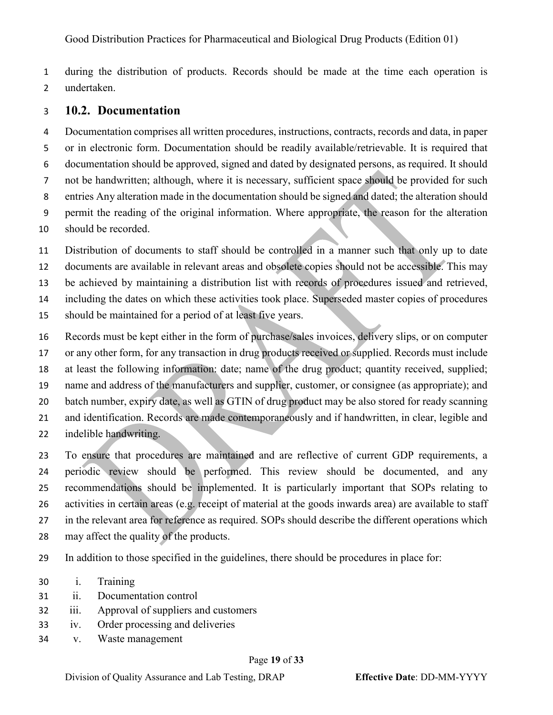during the distribution of products. Records should be made at the time each operation is undertaken.

#### <span id="page-18-0"></span>**10.2. Documentation**

 Documentation comprises all written procedures, instructions, contracts, records and data, in paper or in electronic form. Documentation should be readily available/retrievable. It is required that documentation should be approved, signed and dated by designated persons, as required. It should not be handwritten; although, where it is necessary, sufficient space should be provided for such entries Any alteration made in the documentation should be signed and dated; the alteration should permit the reading of the original information. Where appropriate, the reason for the alteration should be recorded.

Distribution of documents to staff should be controlled in a manner such that only up to date

documents are available in relevant areas and obsolete copies should not be accessible. This may

be achieved by maintaining a distribution list with records of procedures issued and retrieved,

including the dates on which these activities took place. Superseded master copies of procedures

- should be maintained for a period of at least five years.
- Records must be kept either in the form of purchase/sales invoices, delivery slips, or on computer

or any other form, for any transaction in drug products received or supplied. Records must include

at least the following information: date; name of the drug product; quantity received, supplied;

name and address of the manufacturers and supplier, customer, or consignee (as appropriate); and

- batch number, expiry date, as well as GTIN of drug product may be also stored for ready scanning
- and identification. Records are made contemporaneously and if handwritten, in clear, legible and
- indelible handwriting.

 To ensure that procedures are maintained and are reflective of current GDP requirements, a periodic review should be performed. This review should be documented, and any recommendations should be implemented. It is particularly important that SOPs relating to activities in certain areas (e.g. receipt of material at the goods inwards area) are available to staff in the relevant area for reference as required. SOPs should describe the different operations which

- may affect the quality of the products.
- In addition to those specified in the guidelines, there should be procedures in place for:
- i. Training
- ii. Documentation control
- iii. Approval of suppliers and customers
- iv. Order processing and deliveries
- v. Waste management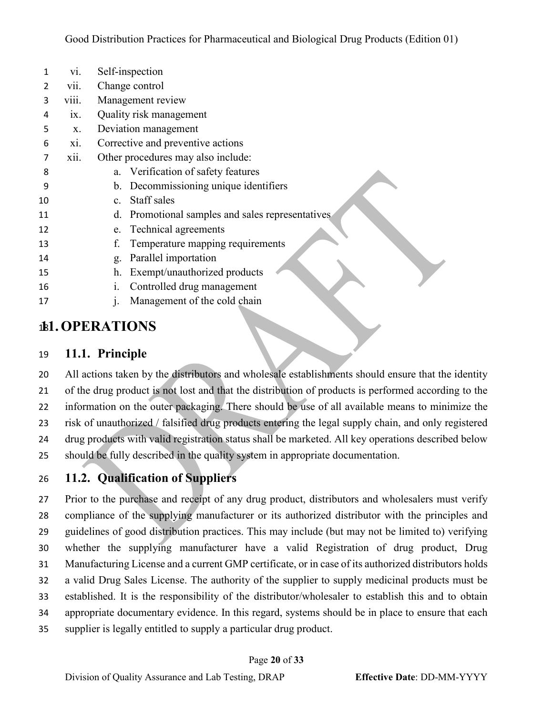| 1  | vi.               | Self-inspection                                  |
|----|-------------------|--------------------------------------------------|
| 2  | vii.              | Change control                                   |
| 3  | viii.             | Management review                                |
| 4  | $\overline{1}X$ . | Quality risk management                          |
| 5  | X.                | Deviation management                             |
| 6  | xi.               | Corrective and preventive actions                |
| 7  | xii.              | Other procedures may also include:               |
| 8  |                   | a. Verification of safety features               |
| 9  |                   | b. Decommissioning unique identifiers            |
| 10 |                   | c. Staff sales                                   |
| 11 |                   | d. Promotional samples and sales representatives |
| 12 |                   | e. Technical agreements                          |
| 13 |                   | Temperature mapping requirements<br>f.           |
| 14 |                   | Parallel importation<br>g.                       |
| 15 |                   | Exempt/unauthorized products<br>h.               |
| 16 |                   | Controlled drug management<br>1.                 |
| 17 |                   | Management of the cold chain                     |
|    |                   |                                                  |

# <span id="page-19-0"></span>**11.OPERATIONS**

## <span id="page-19-1"></span>**11.1. Principle**

 All actions taken by the distributors and wholesale establishments should ensure that the identity of the drug product is not lost and that the distribution of products is performed according to the information on the outer packaging. There should be use of all available means to minimize the risk of unauthorized / falsified drug products entering the legal supply chain, and only registered 24 drug products with valid registration status shall be marketed. All key operations described below should be fully described in the quality system in appropriate documentation.

## <span id="page-19-2"></span>**11.2. Qualification of Suppliers**

 Prior to the purchase and receipt of any drug product, distributors and wholesalers must verify compliance of the supplying manufacturer or its authorized distributor with the principles and guidelines of good distribution practices. This may include (but may not be limited to) verifying whether the supplying manufacturer have a valid Registration of drug product, Drug Manufacturing License and a current GMP certificate, or in case of its authorized distributors holds a valid Drug Sales License. The authority of the supplier to supply medicinal products must be established. It is the responsibility of the distributor/wholesaler to establish this and to obtain appropriate documentary evidence. In this regard, systems should be in place to ensure that each supplier is legally entitled to supply a particular drug product.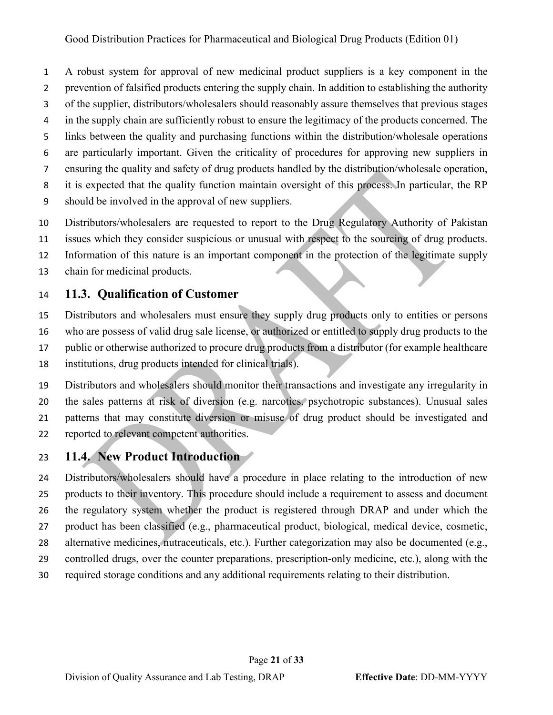A robust system for approval of new medicinal product suppliers is a key component in the prevention of falsified products entering the supply chain. In addition to establishing the authority of the supplier, distributors/wholesalers should reasonably assure themselves that previous stages in the supply chain are sufficiently robust to ensure the legitimacy of the products concerned. The links between the quality and purchasing functions within the distribution/wholesale operations are particularly important. Given the criticality of procedures for approving new suppliers in ensuring the quality and safety of drug products handled by the distribution/wholesale operation, it is expected that the quality function maintain oversight of this process. In particular, the RP should be involved in the approval of new suppliers.

- Distributors/wholesalers are requested to report to the Drug Regulatory Authority of Pakistan
- issues which they consider suspicious or unusual with respect to the sourcing of drug products.
- Information of this nature is an important component in the protection of the legitimate supply
- chain for medicinal products.

## <span id="page-20-0"></span>**11.3. Qualification of Customer**

- Distributors and wholesalers must ensure they supply drug products only to entities or persons who are possess of valid drug sale license, or authorized or entitled to supply drug products to the public or otherwise authorized to procure drug products from a distributor (for example healthcare institutions, drug products intended for clinical trials).
- Distributors and wholesalers should monitor their transactions and investigate any irregularity in the sales patterns at risk of diversion (e.g. narcotics, psychotropic substances). Unusual sales patterns that may constitute diversion or misuse of drug product should be investigated and reported to relevant competent authorities.

## <span id="page-20-1"></span>**11.4. New Product Introduction**

 Distributors/wholesalers should have a procedure in place relating to the introduction of new products to their inventory. This procedure should include a requirement to assess and document the regulatory system whether the product is registered through DRAP and under which the product has been classified (e.g., pharmaceutical product, biological, medical device, cosmetic, alternative medicines, nutraceuticals, etc.). Further categorization may also be documented (e.g., controlled drugs, over the counter preparations, prescription-only medicine, etc.), along with the required storage conditions and any additional requirements relating to their distribution.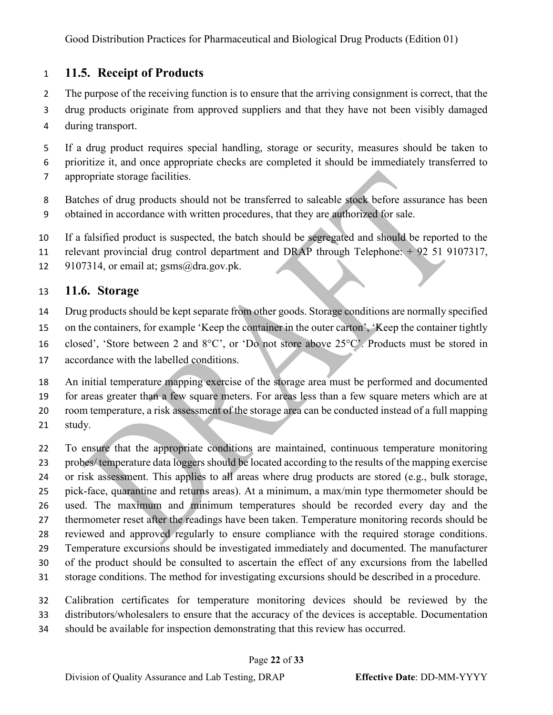## <span id="page-21-0"></span>**11.5. Receipt of Products**

- The purpose of the receiving function is to ensure that the arriving consignment is correct, that the
- drug products originate from approved suppliers and that they have not been visibly damaged during transport.
- If a drug product requires special handling, storage or security, measures should be taken to prioritize it, and once appropriate checks are completed it should be immediately transferred to appropriate storage facilities.
- Batches of drug products should not be transferred to saleable stock before assurance has been obtained in accordance with written procedures, that they are authorized for sale.
- If a falsified product is suspected, the batch should be segregated and should be reported to the
- relevant provincial drug control department and DRAP through Telephone: + 92 51 9107317,
- 12 9107314, or email at;  $gsms(\omega)$ dra.gov.pk.

## <span id="page-21-1"></span>**11.6. Storage**

- 14 Drug products should be kept separate from other goods. Storage conditions are normally specified
- on the containers, for example 'Keep the container in the outer carton', 'Keep the container tightly
- closed', 'Store between 2 and 8°C', or 'Do not store above 25°C'. Products must be stored in
- accordance with the labelled conditions.

 An initial temperature mapping exercise of the storage area must be performed and documented for areas greater than a few square meters. For areas less than a few square meters which are at room temperature, a risk assessment of the storage area can be conducted instead of a full mapping study.

 To ensure that the appropriate conditions are maintained, continuous temperature monitoring probes/ temperature data loggers should be located according to the results of the mapping exercise or risk assessment. This applies to all areas where drug products are stored (e.g., bulk storage, pick-face, quarantine and returns areas). At a minimum, a max/min type thermometer should be used. The maximum and minimum temperatures should be recorded every day and the thermometer reset after the readings have been taken. Temperature monitoring records should be reviewed and approved regularly to ensure compliance with the required storage conditions. Temperature excursions should be investigated immediately and documented. The manufacturer of the product should be consulted to ascertain the effect of any excursions from the labelled storage conditions. The method for investigating excursions should be described in a procedure.

- Calibration certificates for temperature monitoring devices should be reviewed by the
- distributors/wholesalers to ensure that the accuracy of the devices is acceptable. Documentation
- should be available for inspection demonstrating that this review has occurred.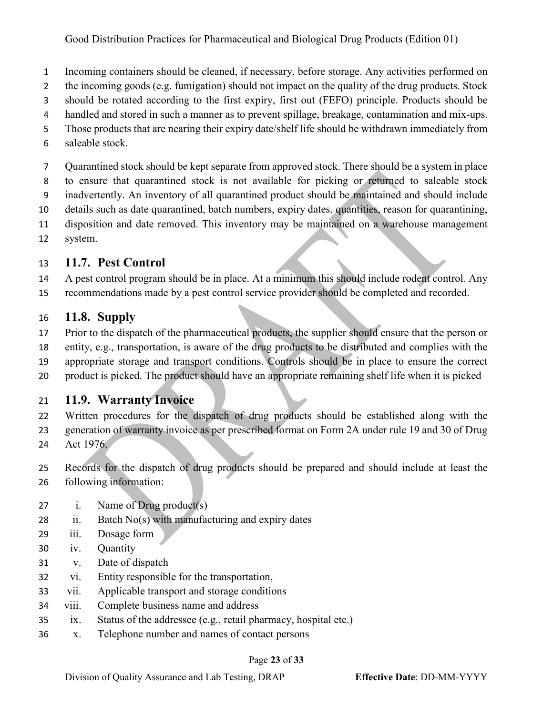- Incoming containers should be cleaned, if necessary, before storage. Any activities performed on
- 2 the incoming goods (e.g. fumigation) should not impact on the quality of the drug products. Stock
- should be rotated according to the first expiry, first out (FEFO) principle. Products should be
- handled and stored in such a manner as to prevent spillage, breakage, contamination and mix-ups.
- Those products that are nearing their expiry date/shelf life should be withdrawn immediately from
- saleable stock.

Quarantined stock should be kept separate from approved stock. There should be a system in place

- to ensure that quarantined stock is not available for picking or returned to saleable stock
- inadvertently. An inventory of all quarantined product should be maintained and should include
- details such as date quarantined, batch numbers, expiry dates, quantities, reason for quarantining,
- disposition and date removed. This inventory may be maintained on a warehouse management
- system.

## <span id="page-22-0"></span>**11.7. Pest Control**

- A pest control program should be in place. At a minimum this should include rodent control. Any
- recommendations made by a pest control service provider should be completed and recorded.

## <span id="page-22-1"></span>**11.8. Supply**

- Prior to the dispatch of the pharmaceutical products, the supplier should ensure that the person or
- entity, e.g., transportation, is aware of the drug products to be distributed and complies with the
- appropriate storage and transport conditions. Controls should be in place to ensure the correct
- product is picked. The product should have an appropriate remaining shelf life when it is picked

## <span id="page-22-2"></span>**11.9. Warranty Invoice**

- Written procedures for the dispatch of drug products should be established along with the
- generation of warranty invoice as per prescribed format on Form 2A under rule 19 and 30 of Drug
- Act 1976.
- Records for the dispatch of drug products should be prepared and should include at least the following information:
- i. Name of Drug product(s)
- 28 ii. Batch  $No(s)$  with manufacturing and expiry dates
- iii. Dosage form
- iv. Quantity
- v. Date of dispatch
- vi. Entity responsible for the transportation,
- vii. Applicable transport and storage conditions
- viii. Complete business name and address
- ix. Status of the addressee (e.g., retail pharmacy, hospital etc.)
- x. Telephone number and names of contact persons

#### Page **23** of **33**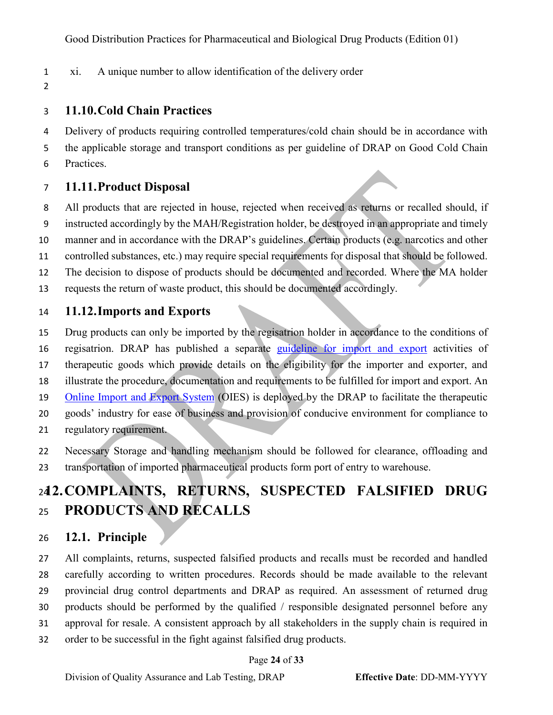- xi. A unique number to allow identification of the delivery order
- 

### <span id="page-23-0"></span>**11.10.Cold Chain Practices**

 Delivery of products requiring controlled temperatures/cold chain should be in accordance with the applicable storage and transport conditions as per guideline of DRAP on Good Cold Chain Practices.

## <span id="page-23-1"></span>**11.11.Product Disposal**

 All products that are rejected in house, rejected when received as returns or recalled should, if instructed accordingly by the MAH/Registration holder, be destroyed in an appropriate and timely manner and in accordance with the DRAP's guidelines. Certain products (e.g. narcotics and other controlled substances, etc.) may require special requirements for disposal that should be followed. The decision to dispose of products should be documented and recorded. Where the MA holder requests the return of waste product, this should be documented accordingly.

### <span id="page-23-2"></span>**11.12.Imports and Exports**

 Drug products can only be imported by the regisatrion holder in accordance to the conditions of regisatrion. DRAP has published a separate [guideline for import and export](https://www.dra.gov.pk/publications/guidelines/qa-lt/) activities of therapeutic goods which provide details on the eligibility for the importer and exporter, and illustrate the procedure, documentation and requirements to be fulfilled for import and export. An [Online Import and Export System](https://www.dra.gov.pk/e-services/) (OIES) is deployed by the DRAP to facilitate the therapeutic goods' industry for ease of business and provision of conducive environment for compliance to regulatory requirement.

 Necessary Storage and handling mechanism should be followed for clearance, offloading and transportation of imported pharmaceutical products form port of entry to warehouse.

# <span id="page-23-3"></span>**12.COMPLAINTS, RETURNS, SUSPECTED FALSIFIED DRUG PRODUCTS AND RECALLS**

## <span id="page-23-4"></span>**12.1. Principle**

 All complaints, returns, suspected falsified products and recalls must be recorded and handled carefully according to written procedures. Records should be made available to the relevant provincial drug control departments and DRAP as required. An assessment of returned drug products should be performed by the qualified / responsible designated personnel before any approval for resale. A consistent approach by all stakeholders in the supply chain is required in order to be successful in the fight against falsified drug products.

#### Page **24** of **33**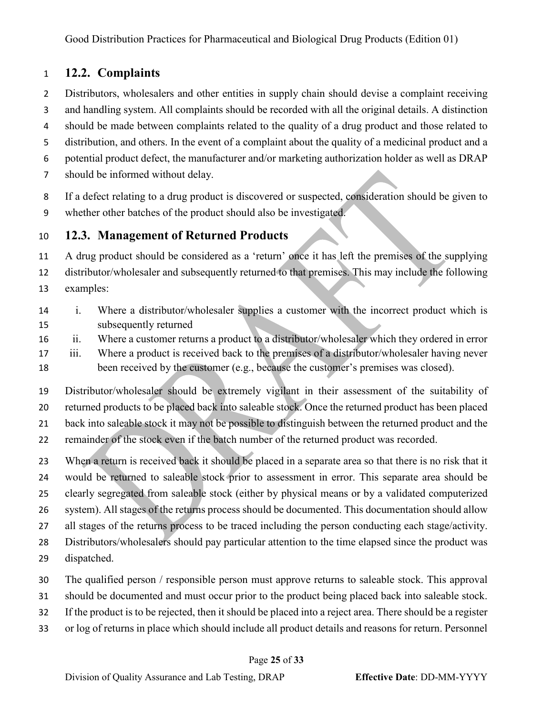## <span id="page-24-0"></span>**12.2. Complaints**

Distributors, wholesalers and other entities in supply chain should devise a complaint receiving

 and handling system. All complaints should be recorded with all the original details. A distinction should be made between complaints related to the quality of a drug product and those related to

distribution, and others. In the event of a complaint about the quality of a medicinal product and a

- potential product defect, the manufacturer and/or marketing authorization holder as well as DRAP
- should be informed without delay.

If a defect relating to a drug product is discovered or suspected, consideration should be given to

whether other batches of the product should also be investigated.

## <span id="page-24-1"></span>**12.3. Management of Returned Products**

 A drug product should be considered as a 'return' once it has left the premises of the supplying distributor/wholesaler and subsequently returned to that premises. This may include the following examples:

- i. Where a distributor/wholesaler supplies a customer with the incorrect product which is subsequently returned
- ii. Where a customer returns a product to a distributor/wholesaler which they ordered in error

 iii. Where a product is received back to the premises of a distributor/wholesaler having never 18 been received by the customer (e.g., because the customer's premises was closed).

 Distributor/wholesaler should be extremely vigilant in their assessment of the suitability of returned products to be placed back into saleable stock. Once the returned product has been placed back into saleable stock it may not be possible to distinguish between the returned product and the remainder of the stock even if the batch number of the returned product was recorded.

 When a return is received back it should be placed in a separate area so that there is no risk that it would be returned to saleable stock prior to assessment in error. This separate area should be clearly segregated from saleable stock (either by physical means or by a validated computerized system). All stages of the returns process should be documented. This documentation should allow all stages of the returns process to be traced including the person conducting each stage/activity. Distributors/wholesalers should pay particular attention to the time elapsed since the product was dispatched.

- The qualified person / responsible person must approve returns to saleable stock. This approval
- should be documented and must occur prior to the product being placed back into saleable stock.
- If the product is to be rejected, then it should be placed into a reject area. There should be a register
- or log of returns in place which should include all product details and reasons for return. Personnel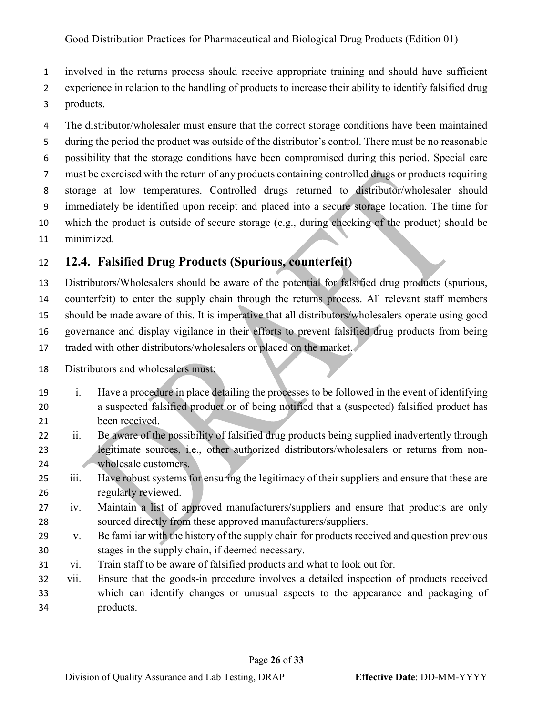involved in the returns process should receive appropriate training and should have sufficient

experience in relation to the handling of products to increase their ability to identify falsified drug

products.

 The distributor/wholesaler must ensure that the correct storage conditions have been maintained during the period the product was outside of the distributor's control. There must be no reasonable possibility that the storage conditions have been compromised during this period. Special care must be exercised with the return of any products containing controlled drugs or products requiring storage at low temperatures. Controlled drugs returned to distributor/wholesaler should immediately be identified upon receipt and placed into a secure storage location. The time for which the product is outside of secure storage (e.g., during checking of the product) should be minimized.

## <span id="page-25-0"></span>**12.4. Falsified Drug Products (Spurious, counterfeit)**

 Distributors/Wholesalers should be aware of the potential for falsified drug products (spurious, counterfeit) to enter the supply chain through the returns process. All relevant staff members should be made aware of this. It is imperative that all distributors/wholesalers operate using good governance and display vigilance in their efforts to prevent falsified drug products from being 17 traded with other distributors/wholesalers or placed on the market.

Distributors and wholesalers must:

- i. Have a procedure in place detailing the processes to be followed in the event of identifying a suspected falsified product or of being notified that a (suspected) falsified product has been received.
- ii. Be aware of the possibility of falsified drug products being supplied inadvertently through legitimate sources, i.e., other authorized distributors/wholesalers or returns from non-24 wholesale customers.
- iii. Have robust systems for ensuring the legitimacy of their suppliers and ensure that these are regularly reviewed.
- iv. Maintain a list of approved manufacturers/suppliers and ensure that products are only sourced directly from these approved manufacturers/suppliers.
- v. Be familiar with the history of the supply chain for products received and question previous stages in the supply chain, if deemed necessary.
- vi. Train staff to be aware of falsified products and what to look out for.
- vii. Ensure that the goods-in procedure involves a detailed inspection of products received which can identify changes or unusual aspects to the appearance and packaging of products.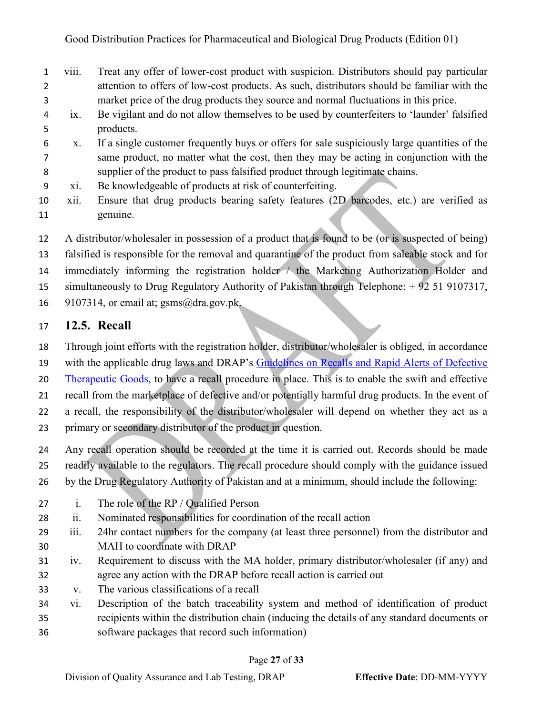- viii. Treat any offer of lower-cost product with suspicion. Distributors should pay particular attention to offers of low-cost products. As such, distributors should be familiar with the market price of the drug products they source and normal fluctuations in this price.
- ix. Be vigilant and do not allow themselves to be used by counterfeiters to 'launder' falsified products.
- x. If a single customer frequently buys or offers for sale suspiciously large quantities of the same product, no matter what the cost, then they may be acting in conjunction with the supplier of the product to pass falsified product through legitimate chains.
- xi. Be knowledgeable of products at risk of counterfeiting.
- xii. Ensure that drug products bearing safety features (2D barcodes, etc.) are verified as genuine.

A distributor/wholesaler in possession of a product that is found to be (or is suspected of being)

falsified is responsible for the removal and quarantine of the product from saleable stock and for

immediately informing the registration holder / the Marketing Authorization Holder and

- simultaneously to Drug Regulatory Authority of Pakistan through Telephone: + 92 51 9107317,
- 16 9107314, or email at;  $g\text{sms}(\partial_\theta d\text{ra.gov.pk})$ .

### <span id="page-26-0"></span>**12.5. Recall**

Through joint efforts with the registration holder, distributor/wholesaler is obliged, in accordance

with the applicable drug laws and DRAP's Guidelines [on Recalls and Rapid Alerts of Defective](https://www.dra.gov.pk/publications/guidelines/qa-lt/) 

[Therapeutic Goods,](https://www.dra.gov.pk/publications/guidelines/qa-lt/) to have a recall procedure in place. This is to enable the swift and effective

recall from the marketplace of defective and/or potentially harmful drug products. In the event of

a recall, the responsibility of the distributor/wholesaler will depend on whether they act as a

- primary or secondary distributor of the product in question.
- Any recall operation should be recorded at the time it is carried out. Records should be made

readily available to the regulators. The recall procedure should comply with the guidance issued

- by the Drug Regulatory Authority of Pakistan and at a minimum, should include the following:
- i. The role of the RP / Qualified Person
- ii. Nominated responsibilities for coordination of the recall action
- iii. 24hr contact numbers for the company (at least three personnel) from the distributor and MAH to coordinate with DRAP
- iv. Requirement to discuss with the MA holder, primary distributor/wholesaler (if any) and agree any action with the DRAP before recall action is carried out
- v. The various classifications of a recall
- vi. Description of the batch traceability system and method of identification of product recipients within the distribution chain (inducing the details of any standard documents or software packages that record such information)

#### Page **27** of **33**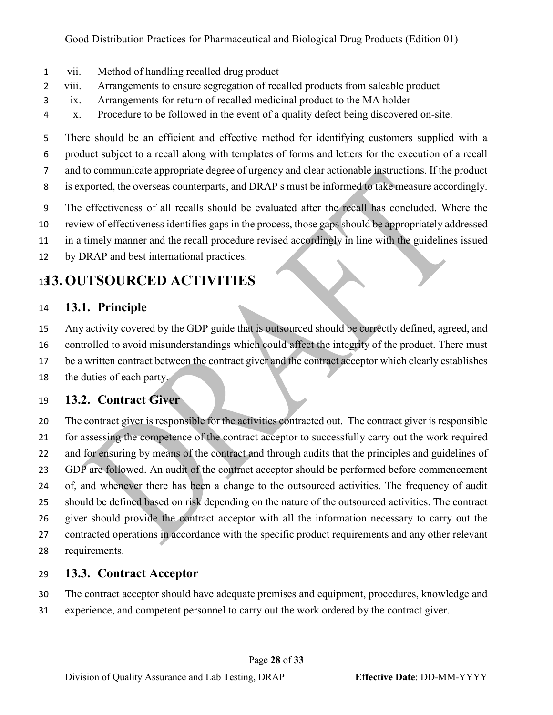- vii. Method of handling recalled drug product
- viii. Arrangements to ensure segregation of recalled products from saleable product
- ix. Arrangements for return of recalled medicinal product to the MA holder
- x. Procedure to be followed in the event of a quality defect being discovered on-site.

 There should be an efficient and effective method for identifying customers supplied with a product subject to a recall along with templates of forms and letters for the execution of a recall

- and to communicate appropriate degree of urgency and clear actionable instructions. If the product
- is exported, the overseas counterparts, and DRAP s must be informed to take measure accordingly.
- The effectiveness of all recalls should be evaluated after the recall has concluded. Where the
- review of effectiveness identifies gaps in the process, those gaps should be appropriately addressed
- in a timely manner and the recall procedure revised accordingly in line with the guidelines issued
- by DRAP and best international practices.

# <span id="page-27-0"></span>**13. OUTSOURCED ACTIVITIES**

## <span id="page-27-1"></span>**13.1. Principle**

- Any activity covered by the GDP guide that is outsourced should be correctly defined, agreed, and
- controlled to avoid misunderstandings which could affect the integrity of the product. There must
- be a written contract between the contract giver and the contract acceptor which clearly establishes
- the duties of each party.

## <span id="page-27-2"></span>**13.2. Contract Giver**

 The contract giver is responsible for the activities contracted out. The contract giver is responsible for assessing the competence of the contract acceptor to successfully carry out the work required and for ensuring by means of the contract and through audits that the principles and guidelines of GDP are followed. An audit of the contract acceptor should be performed before commencement of, and whenever there has been a change to the outsourced activities. The frequency of audit should be defined based on risk depending on the nature of the outsourced activities. The contract giver should provide the contract acceptor with all the information necessary to carry out the contracted operations in accordance with the specific product requirements and any other relevant requirements.

## <span id="page-27-3"></span>**13.3. Contract Acceptor**

- The contract acceptor should have adequate premises and equipment, procedures, knowledge and
- experience, and competent personnel to carry out the work ordered by the contract giver.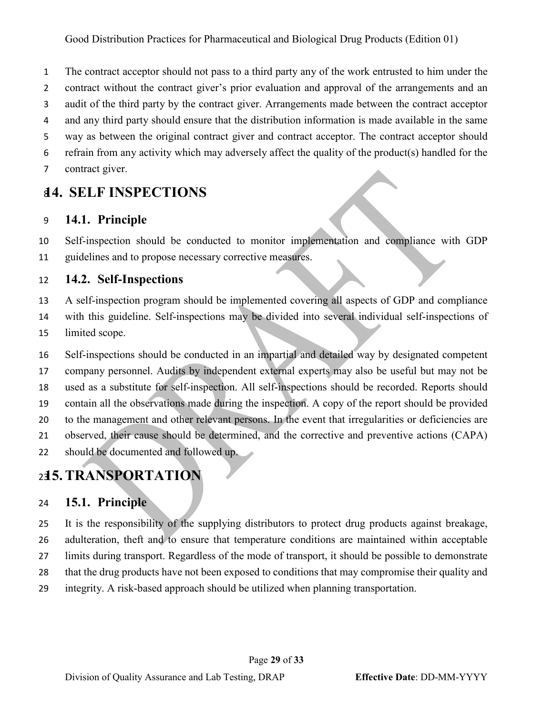The contract acceptor should not pass to a third party any of the work entrusted to him under the

- contract without the contract giver's prior evaluation and approval of the arrangements and an
- audit of the third party by the contract giver. Arrangements made between the contract acceptor
- and any third party should ensure that the distribution information is made available in the same
- way as between the original contract giver and contract acceptor. The contract acceptor should
- refrain from any activity which may adversely affect the quality of the product(s) handled for the
- contract giver.

## <span id="page-28-0"></span>**14. SELF INSPECTIONS**

#### <span id="page-28-1"></span>**14.1. Principle**

 Self-inspection should be conducted to monitor implementation and compliance with GDP guidelines and to propose necessary corrective measures.

#### <span id="page-28-2"></span>**14.2. Self-Inspections**

- A self-inspection program should be implemented covering all aspects of GDP and compliance
- with this guideline. Self-inspections may be divided into several individual self-inspections of
- limited scope.
- Self-inspections should be conducted in an impartial and detailed way by designated competent
- company personnel. Audits by independent external experts may also be useful but may not be
- used as a substitute for self-inspection. All self-inspections should be recorded. Reports should
- contain all the observations made during the inspection. A copy of the report should be provided
- to the management and other relevant persons. In the event that irregularities or deficiencies are
- observed, their cause should be determined, and the corrective and preventive actions (CAPA)
- should be documented and followed up.

# <span id="page-28-3"></span>**15.TRANSPORTATION**

### <span id="page-28-4"></span>**15.1. Principle**

 It is the responsibility of the supplying distributors to protect drug products against breakage, adulteration, theft and to ensure that temperature conditions are maintained within acceptable limits during transport. Regardless of the mode of transport, it should be possible to demonstrate that the drug products have not been exposed to conditions that may compromise their quality and integrity. A risk-based approach should be utilized when planning transportation.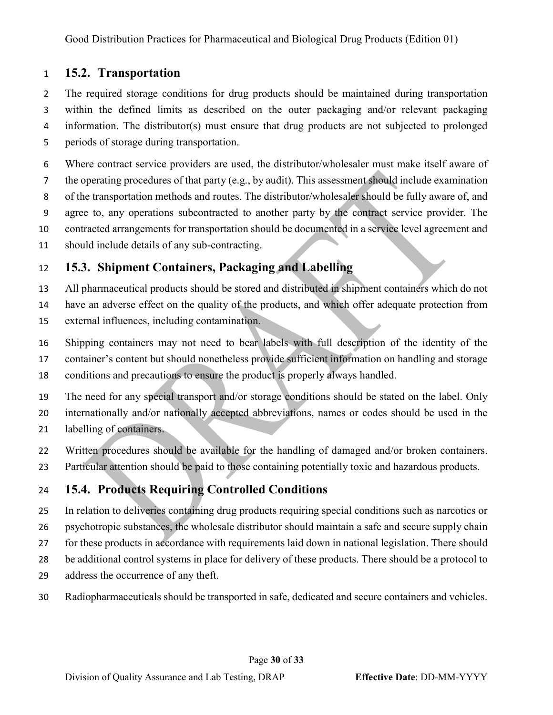## <span id="page-29-0"></span>**15.2. Transportation**

2 The required storage conditions for drug products should be maintained during transportation within the defined limits as described on the outer packaging and/or relevant packaging information. The distributor(s) must ensure that drug products are not subjected to prolonged periods of storage during transportation.

 Where contract service providers are used, the distributor/wholesaler must make itself aware of the operating procedures of that party (e.g., by audit). This assessment should include examination of the transportation methods and routes. The distributor/wholesaler should be fully aware of, and agree to, any operations subcontracted to another party by the contract service provider. The contracted arrangements for transportation should be documented in a service level agreement and should include details of any sub-contracting.

## <span id="page-29-1"></span>**15.3. Shipment Containers, Packaging and Labelling**

All pharmaceutical products should be stored and distributed in shipment containers which do not

have an adverse effect on the quality of the products, and which offer adequate protection from

- external influences, including contamination.
- Shipping containers may not need to bear labels with full description of the identity of the
- container's content but should nonetheless provide sufficient information on handling and storage
- conditions and precautions to ensure the product is properly always handled.

The need for any special transport and/or storage conditions should be stated on the label. Only

- internationally and/or nationally accepted abbreviations, names or codes should be used in the
- labelling of containers.
- Written procedures should be available for the handling of damaged and/or broken containers.
- Particular attention should be paid to those containing potentially toxic and hazardous products.

## <span id="page-29-2"></span>**15.4. Products Requiring Controlled Conditions**

- In relation to deliveries containing drug products requiring special conditions such as narcotics or psychotropic substances, the wholesale distributor should maintain a safe and secure supply chain for these products in accordance with requirements laid down in national legislation. There should be additional control systems in place for delivery of these products. There should be a protocol to address the occurrence of any theft.
- Radiopharmaceuticals should be transported in safe, dedicated and secure containers and vehicles.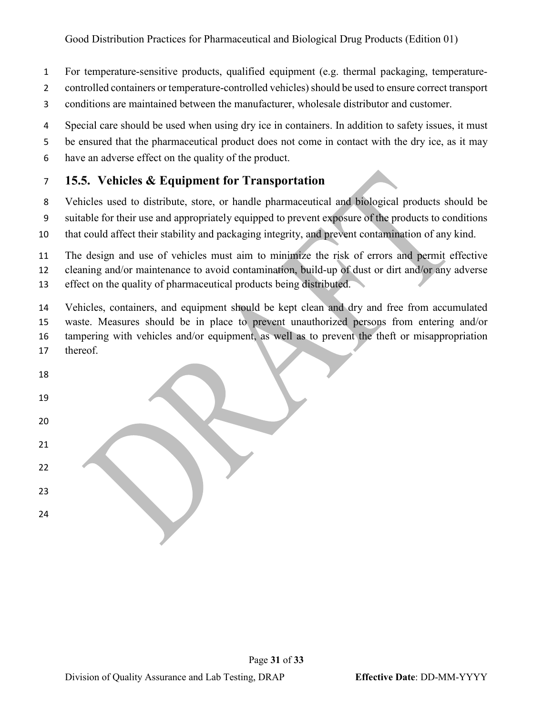- For temperature-sensitive products, qualified equipment (e.g. thermal packaging, temperature-
- controlled containers or temperature-controlled vehicles) should be used to ensure correct transport
- conditions are maintained between the manufacturer, wholesale distributor and customer.
- Special care should be used when using dry ice in containers. In addition to safety issues, it must
- be ensured that the pharmaceutical product does not come in contact with the dry ice, as it may
- have an adverse effect on the quality of the product.

## <span id="page-30-0"></span>**15.5. Vehicles & Equipment for Transportation**

- Vehicles used to distribute, store, or handle pharmaceutical and biological products should be
- suitable for their use and appropriately equipped to prevent exposure of the products to conditions
- that could affect their stability and packaging integrity, and prevent contamination of any kind.

 The design and use of vehicles must aim to minimize the risk of errors and permit effective cleaning and/or maintenance to avoid contamination, build-up of dust or dirt and/or any adverse effect on the quality of pharmaceutical products being distributed.

 Vehicles, containers, and equipment should be kept clean and dry and free from accumulated waste. Measures should be in place to prevent unauthorized persons from entering and/or tampering with vehicles and/or equipment, as well as to prevent the theft or misappropriation thereof.

| ${\bf 18}$ |  |
|------------|--|
| 19         |  |
| $20\,$     |  |
| ${\bf 21}$ |  |
| $22\,$     |  |
| $23\,$     |  |
| 24         |  |
|            |  |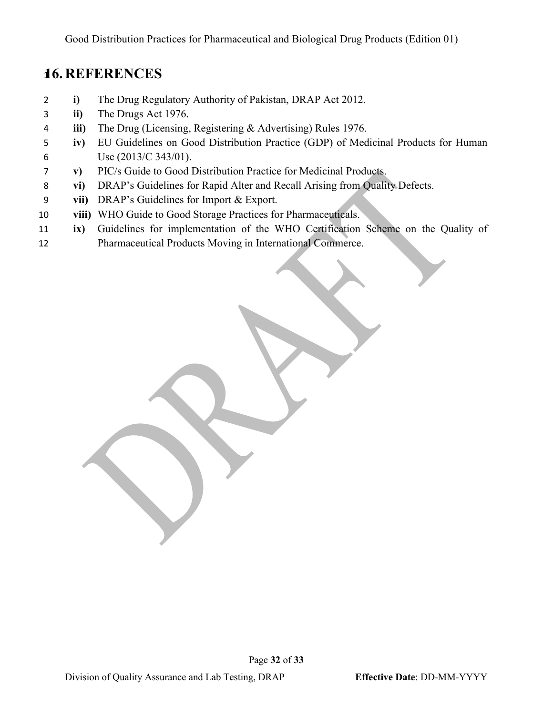# <span id="page-31-0"></span>**16. REFERENCES**

- **i)** The Drug Regulatory Authority of Pakistan, DRAP Act 2012.
- **ii)** The Drugs Act 1976.
- **iii)** The Drug (Licensing, Registering & Advertising) Rules 1976.
- **iv)** EU Guidelines on Good Distribution Practice (GDP) of Medicinal Products for Human Use (2013/C 343/01).
- **v)** PIC/s Guide to Good Distribution Practice for Medicinal Products.
- **vi)** DRAP's Guidelines for Rapid Alter and Recall Arising from Quality Defects.
- **vii)** DRAP's Guidelines for Import & Export.
- **viii)** WHO Guide to Good Storage Practices for Pharmaceuticals.
- **ix)** Guidelines for implementation of the WHO Certification Scheme on the Quality of Pharmaceutical Products Moving in International Commerce.